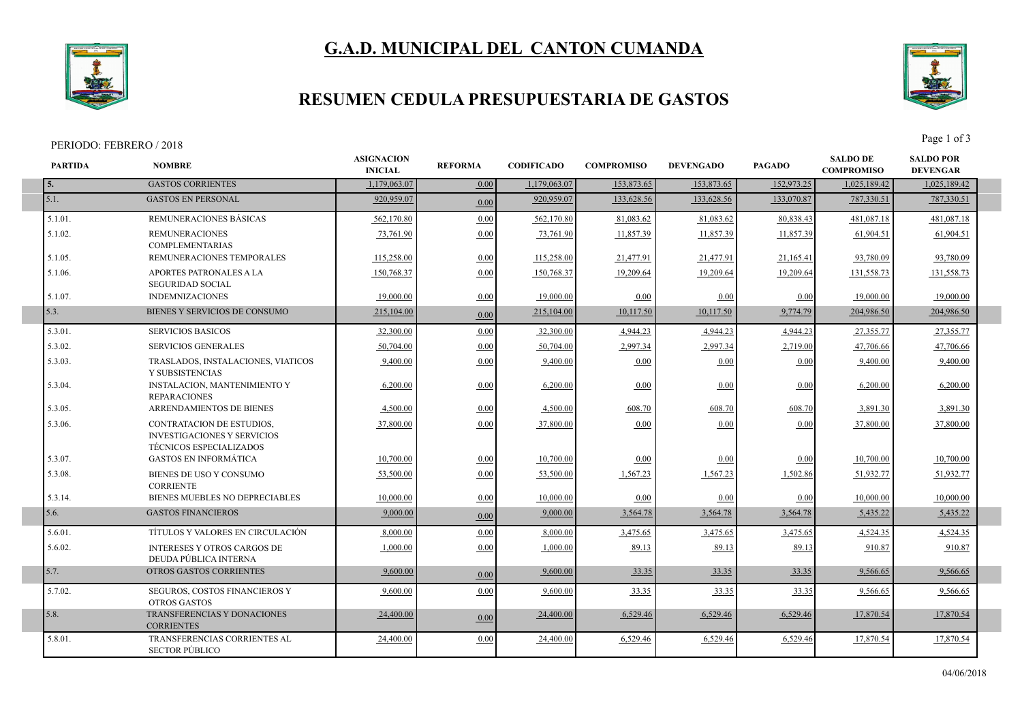## **G.A.D. MUNICIPAL DEL CANTON CUMANDA**



### **RESUMEN CEDULA PRESUPUESTARIA DE GASTOS**

#### PERIODO: FEBRERO / 2018 Page 1 of 3

5.8.01. TRANSFERENCIAS CORRIENTES AL SECTOR PÚBLICO



**SALDO POR** 

**SALDO DE** 

24,400.00 0.00 24,400.00 24,400.00 6,529.46 6,529.46 6,529.46 6,529.46 17,870.54 17,870.54

**PARTIDA NOMBRE ASIGNACION**<br>**REFORMA INICIAL REFORMA CODIFICADO COMPROMISO COMPROMISO DEVENGADO PAGADO DEVENGAR 5.** GASTOS CORRIENTES 1,179,063.07 0.00 1,179,063.07 153,873.65 153,873.65 152,973.25 1,025,189.42 1,025,189.42 5.1. 920,959.07 0.00 GASTOS EN PERSONAL 920,959.07 133,628.56 133,628.56 133,070.87 787,330.51 787,330.51 5.1.01. REMUNERACIONES BÁSICAS 562,170.80 0.00 562,170.80 81,083.62 81,083.62 80,838.43 481,087.18 481,087.18 5.1.02. REMUNERACIONES COMPLEMENTARIAS 73,761.90 0.00 73,761.90 11,857.39 11,857.39 11,857.39 61,904.51 61,904.51 5.1.05. REMUNERACIONES TEMPORALES 115,258.00 0.00 115,258.00 21,477.91 21,477.91 21,165.41 93,780.09 93,780.09 5.1.06. APORTES PATRONALES A LA SEGURIDAD SOCIAL 150,768.37 0.00 150,768.37 19,209.64 19,209.64 19,209.64 131,558.73 131,558.73 5.1.07. INDEMNIZACIONES 19,000.00 0.00 19,000.00 0.00 0.00 0.00 19,000.00 19,000.00 5.3. 215,104.00 0.00 BIENES Y SERVICIOS DE CONSUMO 215,104.00 10,117.50 10,117.50 9,774.79 204,986.50 204,986.50 5.3.01. SERVICIOS BASICOS (2.7,355.77) 32,300.00 0.000 32,300.00 4,944.23 4,944.23 4,944.23 27,355.77 27,355.77 5.3.02. SERVICIOS GENERALES (1.7.06.66) 50,704.00 0.000 50,704.00 2,997.34 2,997.34 2,719.00 47,706.66 47,706.66 47,706.66 2010 5.3.03. TRASLADOS, INSTALACIONES, VIATICOS Y SUBSISTENCIAS 9,400.00 0.00 9,400.00 0.00 0.00 0.00 9,400.00 9,400.00 5.3.04. INSTALACION, MANTENIMIENTO Y REPARACIONES  $\begin{bmatrix} 6,200.00 \\ 0.00 \end{bmatrix}$   $\begin{bmatrix} 0.00 \\ 0.00 \end{bmatrix}$   $\begin{bmatrix} 0.00 \\ 0.00 \end{bmatrix}$   $\begin{bmatrix} 0.00 \\ 0.00 \end{bmatrix}$   $\begin{bmatrix} 6,200.00 \\ 6,200.00 \end{bmatrix}$ 5.3.05. ARRENDAMIENTOS DE BIENES 4,500.00 0.00 4,500.00 4,500.00 608.70 608.70 608.70 608.70 3,891.30 3,891.30 5.3.06. CONTRATACION DE ESTUDIOS, INVESTIGACIONES Y SERVICIOS TÉCNICOS ESPECIALIZADOS 37,800.00 0.00 37,800.00 0.00 0.00 0.00 37,800.00 37,800.00 5.3.07. GASTOS EN INFORMÁTICA 10,700.00 0.00 10,700.00 0.00 0.00 0.00 10,700.00 10,700.00 5.3.08. BIENES DE USO Y CONSUMO **CORRIENTE 53,500.00** 0.00 **53,500.00** 1,567.23 1,567.23 1,502.86 51,932.77 51,932.77 5.3.14. BIENES MUEBLES NO DEPRECIABLES 10,000.00 0.00 10,000.00 0.00 0.00 0.00 10,000.00 10,000.00 5.6. 9,000.00 0.00 GASTOS FINANCIEROS 9,000.00 3,564.78 3,564.78 3,564.78 5,435.22 5,435.22 5.6.01. TÍTULOS Y VALORES EN CIRCULACIÓN 8,000.00 0.00 8,000.00 3,475.65 3,475.65 3,475.65 4,524.35 4,524.35 5.6.02. INTERESES Y OTROS CARGOS DE DEUDA PÚBLICA INTERNA 1,000.00 0.00 1,000.00 89.13 89.13 89.13 910.87 910.87 5.7. 9TROS GASTOS CORRIENTES (1.9)  $\frac{9,600.00}{0.00}$   $\frac{9,600.00}{0.00}$   $\frac{9,560.00}{0.33.35}$   $\frac{33.35}{0.335}$   $\frac{33.35}{0.335}$   $\frac{9,566.65}{0.335}$   $\frac{9,566.65}{0.33}$ 5.7.02. SEGUROS, COSTOS FINANCIEROS Y OTROS GASTOS  $\frac{9,600.00}{9,600.00}$   $\frac{9,600.00}{33.35}$   $\frac{33.35}{33.35}$   $\frac{33.35}{33.35}$   $\frac{9,566.65}{9,566.65}$ 5.8. 24,400.00 0.00 TRANSFERENCIAS Y DONACIONES 24,400.00 6,529.46 6,529.46 17,870.54 17,870.54 **CORRIENTES** 6,529.46 17.870.54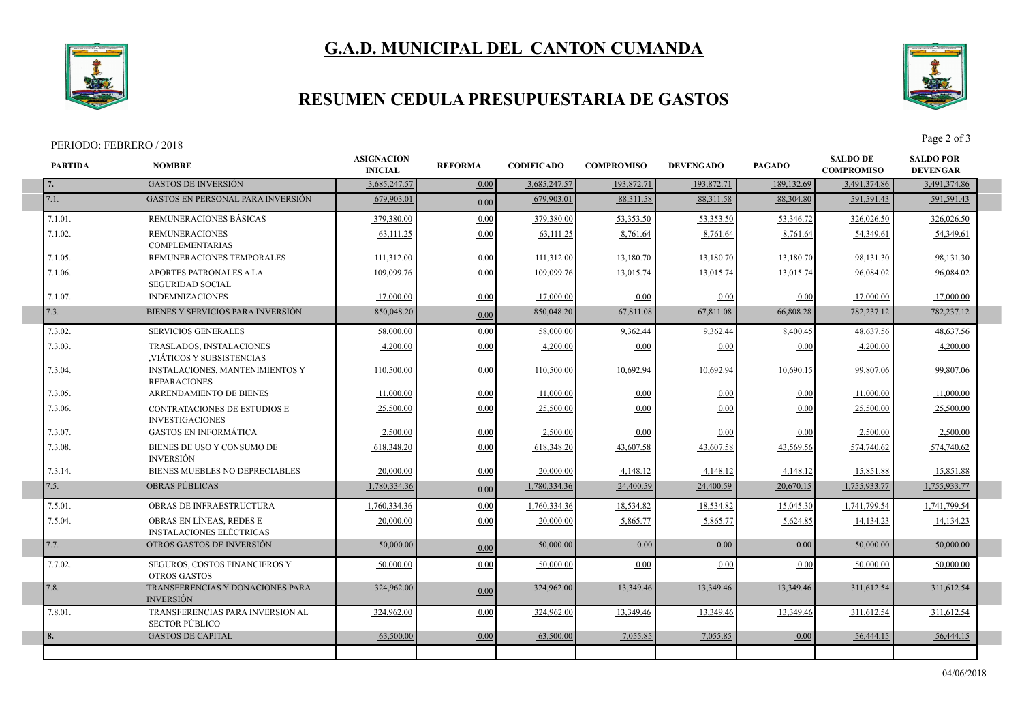## **G.A.D. MUNICIPAL DEL CANTON CUMANDA**



### **RESUMEN CEDULA PRESUPUESTARIA DE GASTOS**

**INICIAL REFORMA CODIFICADO COMPROMISO**

**ASIGNACION**<br>**REFORMA** 

#### **PARTIDA NOMBRE** PERIODO: FEBRERO / 2018 Page 2 of 3

7.8.01. TRANSFERENCIAS PARA INVERSION AL SECTOR PÚBLICO



**SALDO POR DEVENGAR**

**SALDO DE COMPROMISO DEVENGADO PAGADO**

**7.** GASTOS DE INVERSIÓN 1930 193,685,247.57 **1.000 3,685,247.57** 193,872.71 193,872.71 189,132.69 3,491,374.86 3,491,374.86 7.1. 679,903.01 0.00 GASTOS EN PERSONAL PARA INVERSIÓN 679,903.01 88,311.58 88,311.58 88,304.80 591,591.43 591,591.43 7.1.01. REMUNERACIONES BÁSICAS | 379,380.00 0.00 379,380.00 53,353.50 53,353.50 53,346.72 326,026.50 326,026.50 7.1.02. REMUNERACIONES COMPLEMENTARIAS 63,111.25 0.00 63,111.25 8,761.64 8,761.64 8,761.64 54,349.61 54,349.61 7.1.05. REMUNERACIONES TEMPORALES 111,312.00 0.00 111,312.00 13,180.70 13,180.70 13,180.70 98,131.30 98,131.30 7.1.06. APORTES PATRONALES A LA SEGURIDAD SOCIAL 109,099.76 0.00 109,099.76 13,015.74 13,015.74 13,015.74 96,084.02 96,084.02 7.1.07. INDEMNIZACIONES 17,000.00 0.00 17,000.00 0.00 0.00 0.00 17,000.00 17,000.00 7.3. BIENES Y SERVICIOS PARA INVERSIÓN <u>850,048.20</u> 67,811.08 <u>67,811.08 67,811.08 68,808.28 782,237.12 782,237.12</u> 7.3.02. SERVICIOS GENERALES (58,000.00) 58,000.00 58,000.00 58,000.00 9,362.44 9,362.44 8,400.45 48,637.56 48,637.56 48,637.56 7.3.03. TRASLADOS, INSTALACIONES ,VIÁTICOS Y SUBSISTENCIAS 4,200.00 0.00 4,200.00 0.00 0.00 0.00 4,200.00 4,200.00 7.3.04. INSTALACIONES, MANTENIMIENTOS Y REPARACIONES 110,500.00 0.00 110,500.00 10,692.94 10,692.94 10,690.15 99,807.06 99,807.06 7.3.05. ARRENDAMIENTO DE BIENES <u>11,000.00</u> | <u>0.00</u> | <u>0.00 | 11,000.00</u> | 11,000.00 | 7.3.06. CONTRATACIONES DE ESTUDIOS E INVESTIGACIONES 25,500.00 0.00 25,500.00 0.00 0.00 0.00 25,500.00 25,500.00 7.3.07. GASTOS EN INFORMÁTICA 2,500.00 0.00 2,500.00 0.00 0.00 0.00 2,500.00 2,500.00 7.3.08. BIENES DE USO Y CONSUMO DE INVERSIÓN 618,348.20 0.00 618,348.20 43,607.58 43,607.58 43,569.56 574,740.62 574,740.62 7.3.14. BIENES MUEBLES NO DEPRECIABLES  $\begin{bmatrix} 20,000.00 \end{bmatrix}$  0.00 20,000.00 4,148.12 4,148.12 4,148.12 15,851.88 15,851.88 7.5. 1,780,334.36 0.00 OBRAS PÚBLICAS 1,780,334.36 24,400.59 24,400.59 20,670.15 1,755,933.77 1,755,933.77 7.5.01. OBRAS DE INFRAESTRUCTURA | <u>1,760,334.36</u> 0.00 1,<u>760,334.36</u> 18,534.82 18,534.82 15,045.30 1,741,799.54 1,741,799.54 1,741,799.54 7.5.04. OBRAS EN LÍNEAS, REDES E INSTALACIONES ELÉCTRICAS  $20,000.00$   $0.00$   $20,000.00$   $5,865.77$   $5,865.77$   $5,624.85$   $14,134.23$   $14,134.23$ 7.7. 50,000.00 0.00 OTROS GASTOS DE INVERSIÓN 50,000.00 0.00 0.00 0.00 50,000.00 50,000.00 7.7.02. SEGUROS, COSTOS FINANCIEROS Y OTROS GASTOS  $\begin{bmatrix} 50,000.00 \\ 0.00 \end{bmatrix}$   $\begin{bmatrix} 0.00 \\ 0.00 \end{bmatrix}$   $\begin{bmatrix} 0.00 \\ 0.00 \end{bmatrix}$   $\begin{bmatrix} 0.00 \\ 0.00 \end{bmatrix}$   $\begin{bmatrix} 50,000.00 \\ 50,000.00 \end{bmatrix}$   $\begin{bmatrix} 50,000.00 \\ 0.00 \end{bmatrix}$ 7.8. TRANSFERENCIAS Y DONACIONES PARA 324,962.00 1000 324,962.00 13,349.46 13,349.46 13,349.46 311,612.54 311,612.54 INVERSIÓN 311,612.54

**8.** GASTOS DE CAPITAL 63,500.00 0.00 63,500.00 7,055.85 7,055.85 0.00 56,444.15 56,444.15

324,962.00 0.00 324,962.00 324,962.00 13,349.46 13,349.46 311,612.54 311,612.54